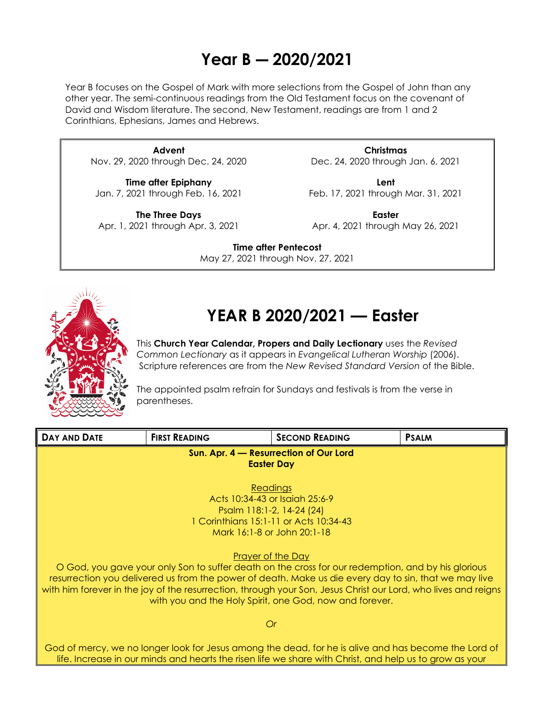## **Year B ― 2020/2021**

Year B focuses on the Gospel of Mark with more selections from the Gospel of John than any other year. The semi-continuous readings from the Old Testament focus on the covenant of David and Wisdom literature. The second, New Testament, readings are from 1 and 2 Corinthians, Ephesians, James and Hebrews.

**Advent** Nov. 29, 2020 through Dec. 24, 2020

**Time after Epiphany** Jan. 7, 2021 through Feb. 16, 2021

**The Three Days** Apr. 1, 2021 through Apr. 3, 2021

**Christmas** Dec. 24, 2020 through Jan. 6, 2021

**Lent** Feb. 17, 2021 through Mar. 31, 2021

**Easter** Apr. 4, 2021 through May 26, 2021

**Time after Pentecost** May 27, 2021 through Nov. 27, 2021



# **YEAR B 2020/2021 — Easter**

This **Church Year Calendar, Propers and Daily Lectionary** uses the *Revised Common Lectionary* as it appears in *Evangelical Lutheran Worship* (2006). Scripture references are from the *New Revised Standard Version* of the Bible.

The appointed psalm refrain for Sundays and festivals is from the verse in parentheses.

| <b>DAY AND DATE</b>                                                                                                                                                                                                                                                                                                                                                                                           | <b>FIRST READING</b> | <b>SECOND READING</b> | <b>PSALM</b> |  |
|---------------------------------------------------------------------------------------------------------------------------------------------------------------------------------------------------------------------------------------------------------------------------------------------------------------------------------------------------------------------------------------------------------------|----------------------|-----------------------|--------------|--|
| Sun. Apr. 4 - Resurrection of Our Lord<br><b>Easter Day</b>                                                                                                                                                                                                                                                                                                                                                   |                      |                       |              |  |
| Readings<br>Acts 10:34-43 or Isaiah 25:6-9<br>Psalm 118:1-2, 14-24 (24)<br>1 Corinthians 15:1-11 or Acts 10:34-43                                                                                                                                                                                                                                                                                             |                      |                       |              |  |
| Mark 16:1-8 or John 20:1-18                                                                                                                                                                                                                                                                                                                                                                                   |                      |                       |              |  |
| Prayer of the Day<br>O God, you gave your only Son to suffer death on the cross for our redemption, and by his glorious<br>resurrection you delivered us from the power of death. Make us die every day to sin, that we may live<br>with him forever in the joy of the resurrection, through your Son, Jesus Christ our Lord, who lives and reigns<br>with you and the Holy Spirit, one God, now and forever. |                      |                       |              |  |
| Or                                                                                                                                                                                                                                                                                                                                                                                                            |                      |                       |              |  |
| God of mercy, we no longer look for Jesus among the dead, for he is alive and has become the Lord of<br>life. Increase in our minds and hearts the risen life we share with Christ, and help us to grow as your                                                                                                                                                                                               |                      |                       |              |  |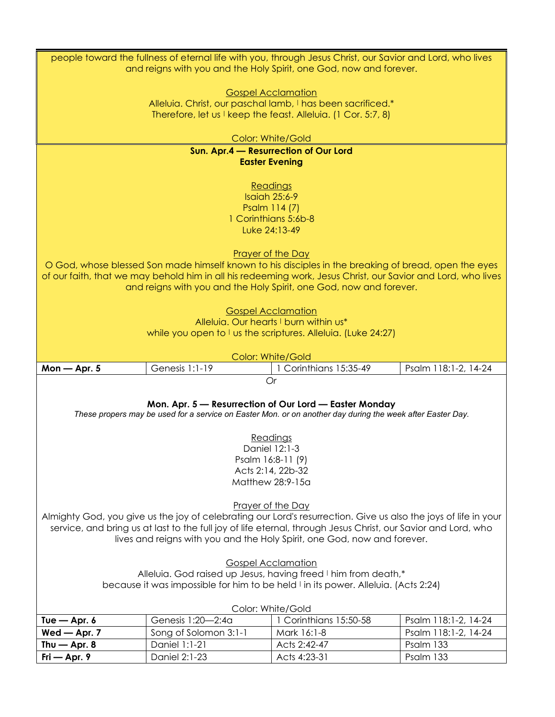| people toward the fullness of eternal life with you, through Jesus Christ, our Savior and Lord, who lives<br>and reigns with you and the Holy Spirit, one God, now and forever. |                       |                                                                                                                                                                                                                      |                      |  |  |  |
|---------------------------------------------------------------------------------------------------------------------------------------------------------------------------------|-----------------------|----------------------------------------------------------------------------------------------------------------------------------------------------------------------------------------------------------------------|----------------------|--|--|--|
|                                                                                                                                                                                 |                       |                                                                                                                                                                                                                      |                      |  |  |  |
|                                                                                                                                                                                 |                       | <b>Gospel Acclamation</b>                                                                                                                                                                                            |                      |  |  |  |
|                                                                                                                                                                                 |                       | Alleluia. Christ, our paschal lamb, I has been sacrificed.*<br>Therefore, let us I keep the feast. Alleluia. (1 Cor. 5:7, 8)                                                                                         |                      |  |  |  |
|                                                                                                                                                                                 |                       |                                                                                                                                                                                                                      |                      |  |  |  |
|                                                                                                                                                                                 |                       | <b>Color: White/Gold</b>                                                                                                                                                                                             |                      |  |  |  |
|                                                                                                                                                                                 |                       | Sun. Apr.4 - Resurrection of Our Lord                                                                                                                                                                                |                      |  |  |  |
|                                                                                                                                                                                 |                       | <b>Easter Evening</b>                                                                                                                                                                                                |                      |  |  |  |
|                                                                                                                                                                                 |                       |                                                                                                                                                                                                                      |                      |  |  |  |
|                                                                                                                                                                                 |                       | Readings                                                                                                                                                                                                             |                      |  |  |  |
|                                                                                                                                                                                 |                       | <b>Isaiah 25:6-9</b>                                                                                                                                                                                                 |                      |  |  |  |
|                                                                                                                                                                                 |                       | Psalm 114 (7)                                                                                                                                                                                                        |                      |  |  |  |
|                                                                                                                                                                                 |                       | 1 Corinthians 5:6b-8                                                                                                                                                                                                 |                      |  |  |  |
|                                                                                                                                                                                 |                       | Luke 24:13-49                                                                                                                                                                                                        |                      |  |  |  |
|                                                                                                                                                                                 |                       |                                                                                                                                                                                                                      |                      |  |  |  |
|                                                                                                                                                                                 |                       | <b>Prayer of the Day</b>                                                                                                                                                                                             |                      |  |  |  |
|                                                                                                                                                                                 |                       | O God, whose blessed Son made himself known to his disciples in the breaking of bread, open the eyes<br>of our faith, that we may behold him in all his redeeming work, Jesus Christ, our Savior and Lord, who lives |                      |  |  |  |
|                                                                                                                                                                                 |                       | and reigns with you and the Holy Spirit, one God, now and forever.                                                                                                                                                   |                      |  |  |  |
|                                                                                                                                                                                 |                       |                                                                                                                                                                                                                      |                      |  |  |  |
|                                                                                                                                                                                 |                       |                                                                                                                                                                                                                      |                      |  |  |  |
|                                                                                                                                                                                 |                       | <b>Gospel Acclamation</b><br>Alleluia. Our hearts I burn within us*                                                                                                                                                  |                      |  |  |  |
|                                                                                                                                                                                 |                       |                                                                                                                                                                                                                      |                      |  |  |  |
|                                                                                                                                                                                 |                       | while you open to I us the scriptures. Alleluia. (Luke 24:27)                                                                                                                                                        |                      |  |  |  |
|                                                                                                                                                                                 |                       |                                                                                                                                                                                                                      |                      |  |  |  |
| <b>Color: White/Gold</b>                                                                                                                                                        |                       |                                                                                                                                                                                                                      |                      |  |  |  |
|                                                                                                                                                                                 |                       |                                                                                                                                                                                                                      |                      |  |  |  |
| $Mon - Apr. 5$                                                                                                                                                                  | Genesis 1:1-19        | 1 Corinthians 15:35-49                                                                                                                                                                                               | Psalm 118:1-2, 14-24 |  |  |  |
|                                                                                                                                                                                 |                       | <b>Or</b>                                                                                                                                                                                                            |                      |  |  |  |
|                                                                                                                                                                                 |                       |                                                                                                                                                                                                                      |                      |  |  |  |
|                                                                                                                                                                                 |                       | Mon. Apr. 5 – Resurrection of Our Lord – Easter Monday                                                                                                                                                               |                      |  |  |  |
|                                                                                                                                                                                 |                       | These propers may be used for a service on Easter Mon. or on another day during the week after Easter Day.                                                                                                           |                      |  |  |  |
|                                                                                                                                                                                 |                       |                                                                                                                                                                                                                      |                      |  |  |  |
|                                                                                                                                                                                 |                       | Readings                                                                                                                                                                                                             |                      |  |  |  |
|                                                                                                                                                                                 |                       | Daniel 12:1-3                                                                                                                                                                                                        |                      |  |  |  |
|                                                                                                                                                                                 |                       | Psalm 16:8-11 (9)                                                                                                                                                                                                    |                      |  |  |  |
|                                                                                                                                                                                 |                       | Acts 2:14, 22b-32                                                                                                                                                                                                    |                      |  |  |  |
|                                                                                                                                                                                 |                       | Matthew 28:9-15a                                                                                                                                                                                                     |                      |  |  |  |
|                                                                                                                                                                                 |                       |                                                                                                                                                                                                                      |                      |  |  |  |
|                                                                                                                                                                                 |                       | Prayer of the Day                                                                                                                                                                                                    |                      |  |  |  |
|                                                                                                                                                                                 |                       | Almighty God, you give us the joy of celebrating our Lord's resurrection. Give us also the joys of life in your                                                                                                      |                      |  |  |  |
|                                                                                                                                                                                 |                       | service, and bring us at last to the full joy of life eternal, through Jesus Christ, our Savior and Lord, who<br>lives and reigns with you and the Holy Spirit, one God, now and forever.                            |                      |  |  |  |
|                                                                                                                                                                                 |                       |                                                                                                                                                                                                                      |                      |  |  |  |
|                                                                                                                                                                                 |                       | <b>Gospel Acclamation</b>                                                                                                                                                                                            |                      |  |  |  |
|                                                                                                                                                                                 |                       | Alleluia. God raised up Jesus, having freed I him from death,*                                                                                                                                                       |                      |  |  |  |
|                                                                                                                                                                                 |                       | because it was impossible for him to be held I in its power. Alleluia. (Acts 2:24)                                                                                                                                   |                      |  |  |  |
|                                                                                                                                                                                 |                       |                                                                                                                                                                                                                      |                      |  |  |  |
|                                                                                                                                                                                 |                       | Color: White/Gold                                                                                                                                                                                                    |                      |  |  |  |
| Tue $-$ Apr. $6$                                                                                                                                                                | Genesis 1:20-2:4a     | 1 Corinthians 15:50-58                                                                                                                                                                                               | Psalm 118:1-2, 14-24 |  |  |  |
| $Wed$ – Apr. 7                                                                                                                                                                  | Song of Solomon 3:1-1 | Mark 16:1-8                                                                                                                                                                                                          | Psalm 118:1-2, 14-24 |  |  |  |
| Thu $-$ Apr. 8                                                                                                                                                                  | Daniel 1:1-21         | Acts 2:42-47                                                                                                                                                                                                         | Psalm 133            |  |  |  |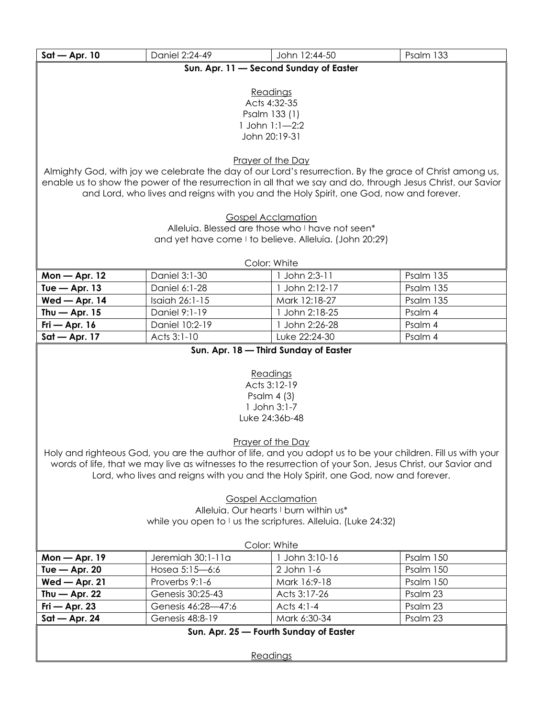| $Sat - Apr. 10$                                                                    | Daniel 2:24-49     | John 12:44-50                                                                                                                                                                                                           | Psalm 133 |  |
|------------------------------------------------------------------------------------|--------------------|-------------------------------------------------------------------------------------------------------------------------------------------------------------------------------------------------------------------------|-----------|--|
| Sun. Apr. 11 - Second Sunday of Easter                                             |                    |                                                                                                                                                                                                                         |           |  |
|                                                                                    |                    |                                                                                                                                                                                                                         |           |  |
|                                                                                    |                    | Readings                                                                                                                                                                                                                |           |  |
|                                                                                    |                    | Acts 4:32-35                                                                                                                                                                                                            |           |  |
|                                                                                    |                    | Psalm 133 (1)                                                                                                                                                                                                           |           |  |
|                                                                                    |                    | 1 John $1:1-2:2$                                                                                                                                                                                                        |           |  |
|                                                                                    |                    | John 20:19-31                                                                                                                                                                                                           |           |  |
|                                                                                    |                    |                                                                                                                                                                                                                         |           |  |
|                                                                                    |                    | <b>Prayer of the Day</b>                                                                                                                                                                                                |           |  |
|                                                                                    |                    | Almighty God, with joy we celebrate the day of our Lord's resurrection. By the grace of Christ among us,<br>enable us to show the power of the resurrection in all that we say and do, through Jesus Christ, our Savior |           |  |
|                                                                                    |                    | and Lord, who lives and reigns with you and the Holy Spirit, one God, now and forever.                                                                                                                                  |           |  |
|                                                                                    |                    |                                                                                                                                                                                                                         |           |  |
|                                                                                    |                    | <b>Gospel Acclamation</b>                                                                                                                                                                                               |           |  |
|                                                                                    |                    | Alleluia. Blessed are those who I have not seen*                                                                                                                                                                        |           |  |
|                                                                                    |                    | and yet have come I to believe. Alleluia. (John 20:29)                                                                                                                                                                  |           |  |
|                                                                                    |                    |                                                                                                                                                                                                                         |           |  |
|                                                                                    |                    | Color: White                                                                                                                                                                                                            |           |  |
| $Mon - Apr. 12$                                                                    | Daniel 3:1-30      | 1 John 2:3-11                                                                                                                                                                                                           | Psalm 135 |  |
| Tue $-$ Apr. 13                                                                    | Daniel 6:1-28      | 1 John 2:12-17                                                                                                                                                                                                          | Psalm 135 |  |
| $Wed$ - Apr. 14                                                                    | Isaiah 26:1-15     | Mark 12:18-27                                                                                                                                                                                                           | Psalm 135 |  |
| Thu $-$ Apr. 15                                                                    | Daniel 9:1-19      | 1 John 2:18-25                                                                                                                                                                                                          | Psalm 4   |  |
| $Fri$ $\rightarrow$ Apr. 16                                                        | Daniel 10:2-19     | 1 John 2:26-28                                                                                                                                                                                                          | Psalm 4   |  |
| $Sat - Apr. 17$                                                                    | Acts 3:1-10        | Luke 22:24-30                                                                                                                                                                                                           | Psalm 4   |  |
|                                                                                    |                    | Sun. Apr. 18 - Third Sunday of Easter                                                                                                                                                                                   |           |  |
|                                                                                    |                    |                                                                                                                                                                                                                         |           |  |
|                                                                                    |                    | Readings                                                                                                                                                                                                                |           |  |
|                                                                                    |                    | Acts 3:12-19                                                                                                                                                                                                            |           |  |
|                                                                                    |                    | Psalm $4(3)$                                                                                                                                                                                                            |           |  |
|                                                                                    |                    | 1 John 3:1-7                                                                                                                                                                                                            |           |  |
|                                                                                    |                    | Luke 24:36b-48                                                                                                                                                                                                          |           |  |
|                                                                                    |                    |                                                                                                                                                                                                                         |           |  |
|                                                                                    |                    | Prayer of the Day<br>Holy and righteous God, you are the author of life, and you adopt us to be your children. Fill us with your                                                                                        |           |  |
|                                                                                    |                    | words of life, that we may live as witnesses to the resurrection of your Son, Jesus Christ, our Savior and                                                                                                              |           |  |
|                                                                                    |                    |                                                                                                                                                                                                                         |           |  |
| Lord, who lives and reigns with you and the Holy Spirit, one God, now and forever. |                    |                                                                                                                                                                                                                         |           |  |
| <b>Gospel Acclamation</b>                                                          |                    |                                                                                                                                                                                                                         |           |  |
| Alleluia. Our hearts I burn within us*                                             |                    |                                                                                                                                                                                                                         |           |  |
| while you open to I us the scriptures. Alleluia. (Luke 24:32)                      |                    |                                                                                                                                                                                                                         |           |  |
|                                                                                    |                    |                                                                                                                                                                                                                         |           |  |
| Color: White                                                                       |                    |                                                                                                                                                                                                                         |           |  |
| Mon - Apr. 19                                                                      | Jeremiah 30:1-11a  | 1 John 3:10-16                                                                                                                                                                                                          | Psalm 150 |  |
| Tue $-$ Apr. 20                                                                    | Hosea 5:15-6:6     | 2 John 1-6                                                                                                                                                                                                              | Psalm 150 |  |
| $Wed - Apr. 21$                                                                    | Proverbs 9:1-6     | Mark 16:9-18                                                                                                                                                                                                            | Psalm 150 |  |
| Thu $-$ Apr. 22                                                                    | Genesis 30:25-43   | Acts 3:17-26                                                                                                                                                                                                            | Psalm 23  |  |
| $Fi - Apr. 23$                                                                     | Genesis 46:28-47:6 | Acts 4:1-4                                                                                                                                                                                                              | Psalm 23  |  |
| $Sat - Apr. 24$                                                                    | Genesis 48:8-19    | Mark 6:30-34                                                                                                                                                                                                            | Psalm 23  |  |
|                                                                                    |                    | Sun. Apr. 25 - Fourth Sunday of Easter                                                                                                                                                                                  |           |  |
|                                                                                    |                    |                                                                                                                                                                                                                         |           |  |
|                                                                                    |                    | Readings                                                                                                                                                                                                                |           |  |
|                                                                                    |                    |                                                                                                                                                                                                                         |           |  |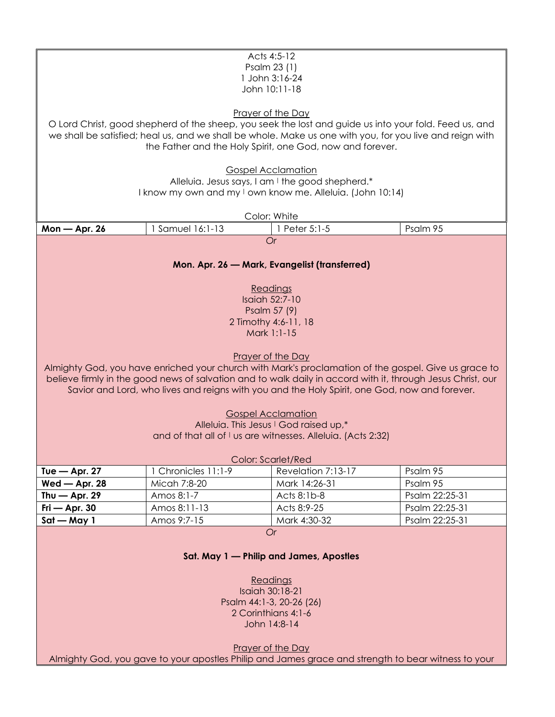| Acts 4:5-12                                                                                         |                             |                                                                                                                                                                                                                     |                                  |  |
|-----------------------------------------------------------------------------------------------------|-----------------------------|---------------------------------------------------------------------------------------------------------------------------------------------------------------------------------------------------------------------|----------------------------------|--|
| Psalm 23 (1)<br>1 John 3:16-24                                                                      |                             |                                                                                                                                                                                                                     |                                  |  |
|                                                                                                     |                             | John 10:11-18                                                                                                                                                                                                       |                                  |  |
|                                                                                                     |                             | Prayer of the Day                                                                                                                                                                                                   |                                  |  |
|                                                                                                     |                             | O Lord Christ, good shepherd of the sheep, you seek the lost and guide us into your fold. Feed us, and                                                                                                              |                                  |  |
|                                                                                                     |                             | we shall be satisfied; heal us, and we shall be whole. Make us one with you, for you live and reign with                                                                                                            |                                  |  |
|                                                                                                     |                             | the Father and the Holy Spirit, one God, now and forever.                                                                                                                                                           |                                  |  |
|                                                                                                     |                             | <b>Gospel Acclamation</b>                                                                                                                                                                                           |                                  |  |
|                                                                                                     |                             | Alleluia. Jesus says, I am I the good shepherd.*                                                                                                                                                                    |                                  |  |
|                                                                                                     |                             | I know my own and my I own know me. Alleluia. (John 10:14)                                                                                                                                                          |                                  |  |
|                                                                                                     |                             | Color: White                                                                                                                                                                                                        |                                  |  |
| $Mon - Apr. 26$                                                                                     | 1 Samuel 16:1-13            | 1 Peter 5:1-5                                                                                                                                                                                                       | Psalm 95                         |  |
|                                                                                                     |                             | <b>Or</b>                                                                                                                                                                                                           |                                  |  |
|                                                                                                     |                             | Mon. Apr. 26 - Mark, Evangelist (transferred)                                                                                                                                                                       |                                  |  |
|                                                                                                     |                             |                                                                                                                                                                                                                     |                                  |  |
|                                                                                                     |                             | Readings<br>Isaiah 52:7-10                                                                                                                                                                                          |                                  |  |
|                                                                                                     |                             | Psalm 57 (9)                                                                                                                                                                                                        |                                  |  |
|                                                                                                     |                             | 2 Timothy 4:6-11, 18                                                                                                                                                                                                |                                  |  |
|                                                                                                     |                             | Mark 1:1-15                                                                                                                                                                                                         |                                  |  |
|                                                                                                     |                             |                                                                                                                                                                                                                     |                                  |  |
|                                                                                                     |                             | Prayer of the Day                                                                                                                                                                                                   |                                  |  |
|                                                                                                     |                             | Almighty God, you have enriched your church with Mark's proclamation of the gospel. Give us grace to<br>believe firmly in the good news of salvation and to walk daily in accord with it, through Jesus Christ, our |                                  |  |
|                                                                                                     |                             | Savior and Lord, who lives and reigns with you and the Holy Spirit, one God, now and forever.                                                                                                                       |                                  |  |
|                                                                                                     |                             |                                                                                                                                                                                                                     |                                  |  |
|                                                                                                     |                             | <b>Gospel Acclamation</b>                                                                                                                                                                                           |                                  |  |
|                                                                                                     |                             | Alleluia. This Jesus I God raised up,*                                                                                                                                                                              |                                  |  |
| and of that all of I us are witnesses. Alleluia. (Acts 2:32)                                        |                             |                                                                                                                                                                                                                     |                                  |  |
| <b>Color: Scarlet/Red</b>                                                                           |                             |                                                                                                                                                                                                                     |                                  |  |
| Tue $-$ Apr. 27                                                                                     | 1 Chronicles 11:1-9         | Revelation 7:13-17                                                                                                                                                                                                  | Psalm 95                         |  |
| $Wed$ - Apr. 28                                                                                     | Micah 7:8-20                | Mark 14:26-31                                                                                                                                                                                                       | Psalm 95                         |  |
| Thu $-$ Apr. 29                                                                                     | Amos 8:1-7                  | Acts 8:1b-8                                                                                                                                                                                                         | Psalm 22:25-31                   |  |
| $Fi - Apr.30$                                                                                       | Amos 8:11-13<br>Amos 9:7-15 | Acts 8:9-25                                                                                                                                                                                                         | Psalm 22:25-31<br>Psalm 22:25-31 |  |
| $Sat - May 1$                                                                                       |                             | Mark 4:30-32                                                                                                                                                                                                        |                                  |  |
| <b>Or</b>                                                                                           |                             |                                                                                                                                                                                                                     |                                  |  |
| Sat. May 1 - Philip and James, Apostles                                                             |                             |                                                                                                                                                                                                                     |                                  |  |
|                                                                                                     |                             |                                                                                                                                                                                                                     |                                  |  |
| Readings<br>Isaiah 30:18-21                                                                         |                             |                                                                                                                                                                                                                     |                                  |  |
| Psalm 44:1-3, 20-26 (26)                                                                            |                             |                                                                                                                                                                                                                     |                                  |  |
| 2 Corinthians 4:1-6                                                                                 |                             |                                                                                                                                                                                                                     |                                  |  |
| John 14:8-14                                                                                        |                             |                                                                                                                                                                                                                     |                                  |  |
|                                                                                                     |                             |                                                                                                                                                                                                                     |                                  |  |
| Prayer of the Day                                                                                   |                             |                                                                                                                                                                                                                     |                                  |  |
| Almighty God, you gave to your apostles Philip and James grace and strength to bear witness to your |                             |                                                                                                                                                                                                                     |                                  |  |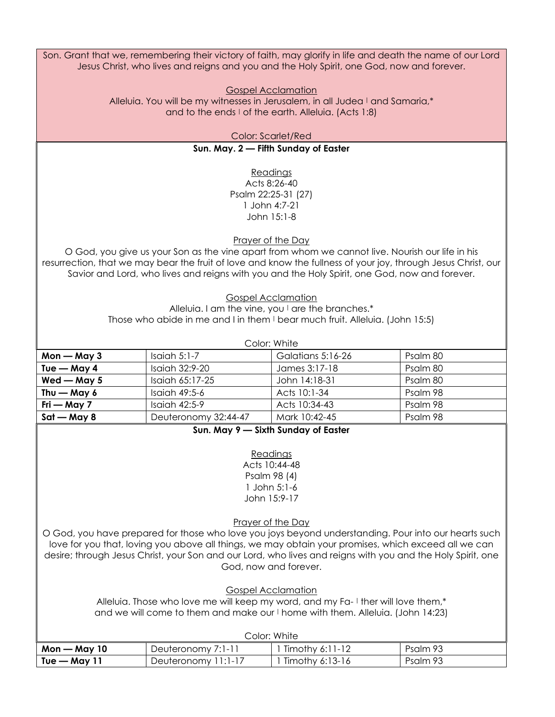Son. Grant that we, remembering their victory of faith, may glorify in life and death the name of our Lord Jesus Christ, who lives and reigns and you and the Holy Spirit, one God, now and forever.

#### Gospel Acclamation

Alleluia. You will be my witnesses in Jerusalem, in all Judea I and Samaria,\* and to the ends  $\vert$  of the earth. Alleluia. (Acts 1:8)

Color: Scarlet/Red

## **Sun. May. 2 — Fifth Sunday of Easter**

Readings Acts 8:26-40 Psalm 22:25-31 (27) 1 John 4:7-21 John 15:1-8

Prayer of the Day

O God, you give us your Son as the vine apart from whom we cannot live. Nourish our life in his resurrection, that we may bear the fruit of love and know the fullness of your joy, through Jesus Christ, our Savior and Lord, who lives and reigns with you and the Holy Spirit, one God, now and forever.

> Gospel Acclamation Alleluia. I am the vine, you  $\vert$  are the branches. $^*$ Those who abide in me and I in them | bear much fruit. Alleluia. (John 15:5)

| Color: White  |                      |                   |          |  |
|---------------|----------------------|-------------------|----------|--|
| $Mon - May 3$ | Isaiah $5:1-7$       | Galatians 5:16-26 | Psalm 80 |  |
| Tue $-$ May 4 | Isaiah 32:9-20       | James 3:17-18     | Psalm 80 |  |
| Wed $-$ May 5 | Isaiah 65:17-25      | John 14:18-31     | Psalm 80 |  |
| Thu $-$ May 6 | Isaiah $49:5-6$      | Acts 10:1-34      | Psalm 98 |  |
| Fri — May 7   | Isaiah $42:5-9$      | Acts 10:34-43     | Psalm 98 |  |
| Sat — May 8   | Deuteronomy 32:44-47 | Mark 10:42-45     | Psalm 98 |  |

## **Sun. May 9 — Sixth Sunday of Easter**

Readings Acts 10:44-48 Psalm 98 (4) 1 John 5:1-6 John 15:9-17

Prayer of the Day

O God, you have prepared for those who love you joys beyond understanding. Pour into our hearts such love for you that, loving you above all things, we may obtain your promises, which exceed all we can desire; through Jesus Christ, your Son and our Lord, who lives and reigns with you and the Holy Spirit, one God, now and forever.

#### Gospel Acclamation

Alleluia. Those who love me will keep my word, and my Fa-  $\pm$  ther will love them,\* and we will come to them and make our I home with them. Alleluia. (John 14:23)

| Color: White                                                        |                     |                   |          |  |
|---------------------------------------------------------------------|---------------------|-------------------|----------|--|
| Timothy 6:11-12<br>Psalm 93<br>Deuteronomy 7:1-11<br>$Mon - May 10$ |                     |                   |          |  |
| Tue — May 11                                                        | Deuteronomy 11:1-17 | ` Timothy 6:13-16 | Psalm 93 |  |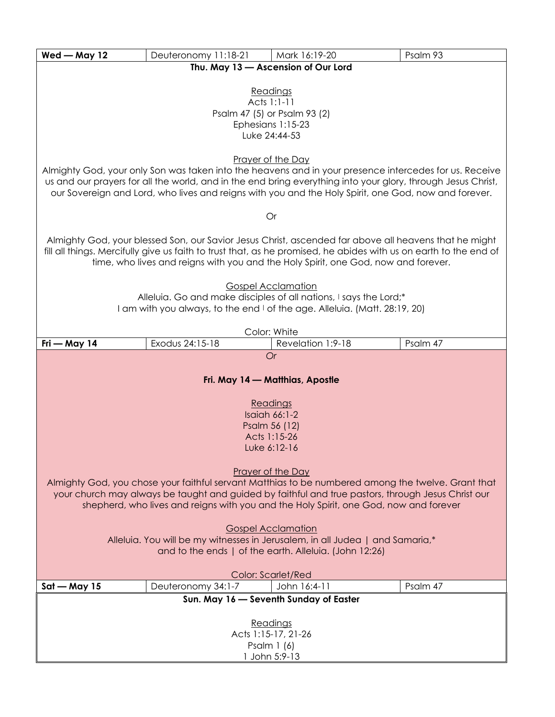| Wed - May 12                                                                                               | Deuteronomy 11:18-21                                                               | Mark 16:19-20                          | Psalm 93                                                                                                          |  |  |
|------------------------------------------------------------------------------------------------------------|------------------------------------------------------------------------------------|----------------------------------------|-------------------------------------------------------------------------------------------------------------------|--|--|
| Thu. May 13 - Ascension of Our Lord                                                                        |                                                                                    |                                        |                                                                                                                   |  |  |
|                                                                                                            |                                                                                    |                                        |                                                                                                                   |  |  |
|                                                                                                            |                                                                                    | Readings                               |                                                                                                                   |  |  |
|                                                                                                            |                                                                                    | Acts 1:1-11                            |                                                                                                                   |  |  |
|                                                                                                            |                                                                                    | Psalm 47 (5) or Psalm 93 (2)           |                                                                                                                   |  |  |
|                                                                                                            |                                                                                    | Ephesians 1:15-23                      |                                                                                                                   |  |  |
|                                                                                                            |                                                                                    | Luke 24:44-53                          |                                                                                                                   |  |  |
|                                                                                                            |                                                                                    |                                        |                                                                                                                   |  |  |
|                                                                                                            |                                                                                    | Prayer of the Day                      |                                                                                                                   |  |  |
|                                                                                                            |                                                                                    |                                        | Almighty God, your only Son was taken into the heavens and in your presence intercedes for us. Receive            |  |  |
|                                                                                                            |                                                                                    |                                        | us and our prayers for all the world, and in the end bring everything into your glory, through Jesus Christ,      |  |  |
|                                                                                                            |                                                                                    |                                        | our Sovereign and Lord, who lives and reigns with you and the Holy Spirit, one God, now and forever.              |  |  |
|                                                                                                            |                                                                                    |                                        |                                                                                                                   |  |  |
|                                                                                                            |                                                                                    | <b>Or</b>                              |                                                                                                                   |  |  |
|                                                                                                            |                                                                                    |                                        |                                                                                                                   |  |  |
|                                                                                                            |                                                                                    |                                        | Almighty God, your blessed Son, our Savior Jesus Christ, ascended far above all heavens that he might             |  |  |
|                                                                                                            |                                                                                    |                                        | fill all things. Mercifully give us faith to trust that, as he promised, he abides with us on earth to the end of |  |  |
|                                                                                                            | time, who lives and reigns with you and the Holy Spirit, one God, now and forever. |                                        |                                                                                                                   |  |  |
|                                                                                                            |                                                                                    |                                        |                                                                                                                   |  |  |
|                                                                                                            |                                                                                    | <b>Gospel Acclamation</b>              |                                                                                                                   |  |  |
|                                                                                                            | Alleluia. Go and make disciples of all nations, I says the Lord;*                  |                                        |                                                                                                                   |  |  |
|                                                                                                            | I am with you always, to the end I of the age. Alleluia. (Matt. 28:19, 20)         |                                        |                                                                                                                   |  |  |
|                                                                                                            |                                                                                    |                                        |                                                                                                                   |  |  |
|                                                                                                            |                                                                                    | Color: White                           |                                                                                                                   |  |  |
| Fri — May 14                                                                                               | Exodus 24:15-18                                                                    | Revelation 1:9-18                      | Psalm 47                                                                                                          |  |  |
|                                                                                                            |                                                                                    | <b>Or</b>                              |                                                                                                                   |  |  |
|                                                                                                            |                                                                                    |                                        |                                                                                                                   |  |  |
|                                                                                                            |                                                                                    | Fri. May 14 - Matthias, Apostle        |                                                                                                                   |  |  |
|                                                                                                            |                                                                                    |                                        |                                                                                                                   |  |  |
|                                                                                                            |                                                                                    | Readings                               |                                                                                                                   |  |  |
|                                                                                                            |                                                                                    | Isaiah $66:1-2$                        |                                                                                                                   |  |  |
|                                                                                                            |                                                                                    | Psalm 56 (12)                          |                                                                                                                   |  |  |
|                                                                                                            | Acts 1:15-26                                                                       |                                        |                                                                                                                   |  |  |
|                                                                                                            | Luke 6:12-16                                                                       |                                        |                                                                                                                   |  |  |
|                                                                                                            |                                                                                    |                                        |                                                                                                                   |  |  |
|                                                                                                            |                                                                                    | <b>Prayer of the Day</b>               |                                                                                                                   |  |  |
|                                                                                                            |                                                                                    |                                        | Almighty God, you chose your faithful servant Matthias to be numbered among the twelve. Grant that                |  |  |
| your church may always be taught and guided by faithful and true pastors, through Jesus Christ our         |                                                                                    |                                        |                                                                                                                   |  |  |
| shepherd, who lives and reigns with you and the Holy Spirit, one God, now and forever                      |                                                                                    |                                        |                                                                                                                   |  |  |
|                                                                                                            |                                                                                    |                                        |                                                                                                                   |  |  |
| <b>Gospel Acclamation</b><br>Alleluia. You will be my witnesses in Jerusalem, in all Judea   and Samaria,* |                                                                                    |                                        |                                                                                                                   |  |  |
| and to the ends   of the earth. Alleluia. (John 12:26)                                                     |                                                                                    |                                        |                                                                                                                   |  |  |
|                                                                                                            |                                                                                    |                                        |                                                                                                                   |  |  |
| <b>Color: Scarlet/Red</b>                                                                                  |                                                                                    |                                        |                                                                                                                   |  |  |
| $Sat - May 15$                                                                                             | Deuteronomy 34:1-7                                                                 | John 16:4-11                           | Psalm 47                                                                                                          |  |  |
|                                                                                                            |                                                                                    | Sun. May 16 - Seventh Sunday of Easter |                                                                                                                   |  |  |
|                                                                                                            |                                                                                    |                                        |                                                                                                                   |  |  |
|                                                                                                            |                                                                                    | Readings                               |                                                                                                                   |  |  |
| Acts 1:15-17, 21-26                                                                                        |                                                                                    |                                        |                                                                                                                   |  |  |
| Psalm $1(6)$                                                                                               |                                                                                    |                                        |                                                                                                                   |  |  |
| 1 John 5:9-13                                                                                              |                                                                                    |                                        |                                                                                                                   |  |  |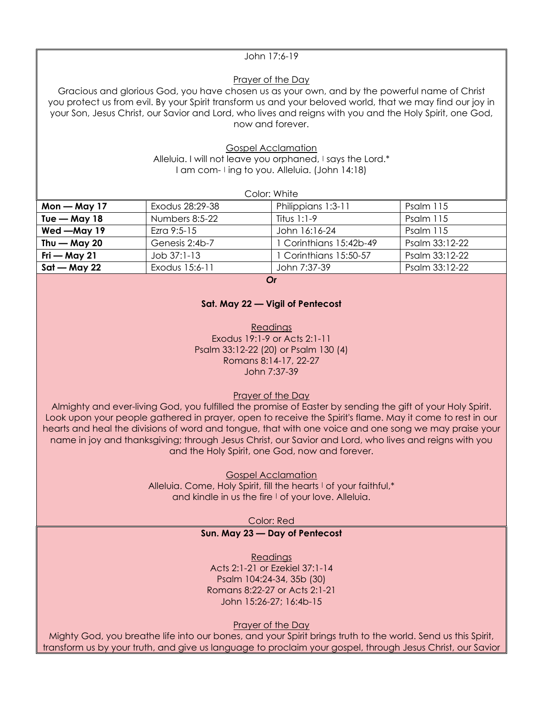## John 17:6-19

## Prayer of the Day

Gracious and glorious God, you have chosen us as your own, and by the powerful name of Christ you protect us from evil. By your Spirit transform us and your beloved world, that we may find our joy in your Son, Jesus Christ, our Savior and Lord, who lives and reigns with you and the Holy Spirit, one God, now and forever.

> Gospel Acclamation Alleluia. I will not leave you orphaned, I says the Lord.\* I am com- I ing to you. Alleluia. (John 14:18)

| Color: White    |                 |                       |                |  |
|-----------------|-----------------|-----------------------|----------------|--|
| $Mon - May 17$  | Exodus 28:29-38 | Philippians 1:3-11    | Psalm 115      |  |
| Tue $-$ May 18  | Numbers 8:5-22  | Titus $1:1-9$         | Psalm 115      |  |
| Wed - May 19    | Ezra $9:5-15$   | John 16:16-24         | Psalm 115      |  |
| Thu $-$ May 20  | Genesis 2:4b-7  | Corinthians 15:42b-49 | Psalm 33:12-22 |  |
| $Fi$ $-$ May 21 | $Job$ 37:1-13   | Corinthians 15:50-57  | Psalm 33:12-22 |  |
| Sat — May 22    | Exodus 15:6-11  | John 7:37-39          | Psalm 33:12-22 |  |
|                 |                 |                       |                |  |

*Or*

#### **Sat. May 22 — Vigil of Pentecost**

**Readings** Exodus 19:1-9 or Acts 2:1-11 Psalm 33:12-22 (20) or Psalm 130 (4) Romans 8:14-17, 22-27 John 7:37-39

## Prayer of the Day

Almighty and ever-living God, you fulfilled the promise of Easter by sending the gift of your Holy Spirit. Look upon your people gathered in prayer, open to receive the Spirit's flame. May it come to rest in our hearts and heal the divisions of word and tongue, that with one voice and one song we may praise your name in joy and thanksgiving; through Jesus Christ, our Savior and Lord, who lives and reigns with you and the Holy Spirit, one God, now and forever.

> Gospel Acclamation Alleluia. Come, Holy Spirit, fill the hearts I of your faithful,\* and kindle in us the fire I of your love. Alleluia.

> > Color: Red

#### **Sun. May 23 — Day of Pentecost**

**Readings** Acts 2:1-21 or Ezekiel 37:1-14 Psalm 104:24-34, 35b (30) Romans 8:22-27 or Acts 2:1-21 John 15:26-27; 16:4b-15

Prayer of the Day

Mighty God, you breathe life into our bones, and your Spirit brings truth to the world. Send us this Spirit, transform us by your truth, and give us language to proclaim your gospel, through Jesus Christ, our Savior